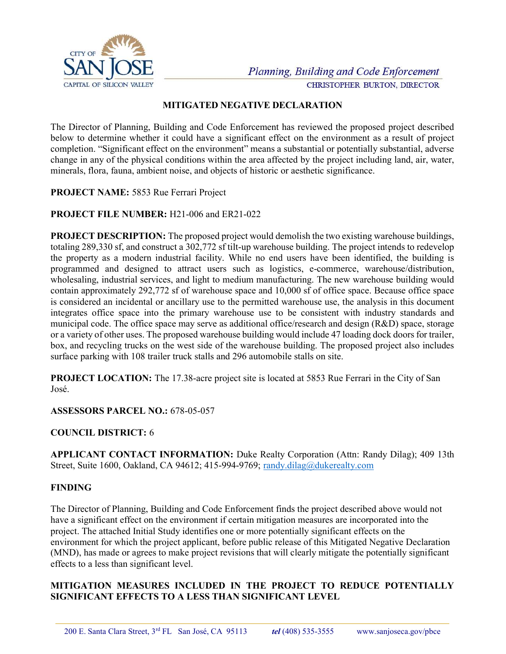

#### MITIGATED NEGATIVE DECLARATION

The Director of Planning, Building and Code Enforcement has reviewed the proposed project described below to determine whether it could have a significant effect on the environment as a result of project completion. "Significant effect on the environment" means a substantial or potentially substantial, adverse change in any of the physical conditions within the area affected by the project including land, air, water, minerals, flora, fauna, ambient noise, and objects of historic or aesthetic significance.

PROJECT NAME: 5853 Rue Ferrari Project

# PROJECT FILE NUMBER: H21-006 and ER21-022

PROJECT DESCRIPTION: The proposed project would demolish the two existing warehouse buildings, totaling 289,330 sf, and construct a 302,772 sf tilt-up warehouse building. The project intends to redevelop the property as a modern industrial facility. While no end users have been identified, the building is programmed and designed to attract users such as logistics, e-commerce, warehouse/distribution, wholesaling, industrial services, and light to medium manufacturing. The new warehouse building would contain approximately 292,772 sf of warehouse space and 10,000 sf of office space. Because office space is considered an incidental or ancillary use to the permitted warehouse use, the analysis in this document integrates office space into the primary warehouse use to be consistent with industry standards and municipal code. The office space may serve as additional office/research and design (R&D) space, storage or a variety of other uses. The proposed warehouse building would include 47 loading dock doors for trailer, box, and recycling trucks on the west side of the warehouse building. The proposed project also includes surface parking with 108 trailer truck stalls and 296 automobile stalls on site.

PROJECT LOCATION: The 17.38-acre project site is located at 5853 Rue Ferrari in the City of San José.

# ASSESSORS PARCEL NO.: 678-05-057

# COUNCIL DISTRICT: 6

APPLICANT CONTACT INFORMATION: Duke Realty Corporation (Attn: Randy Dilag); 409 13th Street, Suite 1600, Oakland, CA 94612; 415-994-9769; randy.dilag@dukerealty.com

# FINDING

The Director of Planning, Building and Code Enforcement finds the project described above would not have a significant effect on the environment if certain mitigation measures are incorporated into the project. The attached Initial Study identifies one or more potentially significant effects on the environment for which the project applicant, before public release of this Mitigated Negative Declaration (MND), has made or agrees to make project revisions that will clearly mitigate the potentially significant effects to a less than significant level.

#### MITIGATION MEASURES INCLUDED IN THE PROJECT TO REDUCE POTENTIALLY SIGNIFICANT EFFECTS TO A LESS THAN SIGNIFICANT LEVEL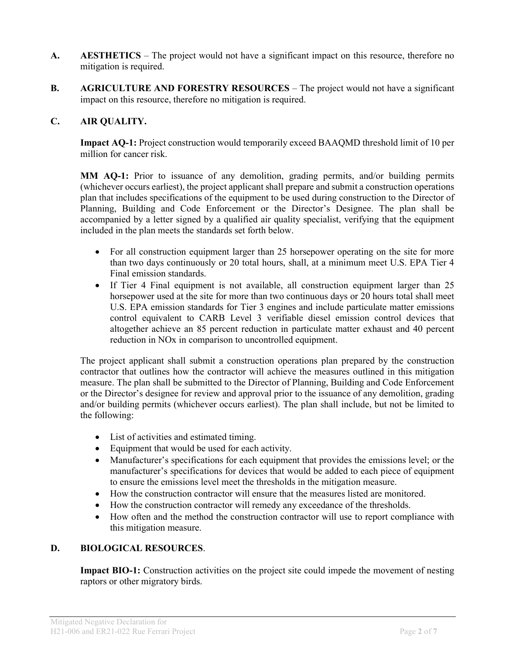- A. AESTHETICS The project would not have a significant impact on this resource, therefore no mitigation is required.
- B. AGRICULTURE AND FORESTRY RESOURCES The project would not have a significant impact on this resource, therefore no mitigation is required.

#### C. AIR QUALITY.

Impact AQ-1: Project construction would temporarily exceed BAAQMD threshold limit of 10 per million for cancer risk.

MM AQ-1: Prior to issuance of any demolition, grading permits, and/or building permits (whichever occurs earliest), the project applicant shall prepare and submit a construction operations plan that includes specifications of the equipment to be used during construction to the Director of Planning, Building and Code Enforcement or the Director's Designee. The plan shall be accompanied by a letter signed by a qualified air quality specialist, verifying that the equipment included in the plan meets the standards set forth below.

- For all construction equipment larger than 25 horsepower operating on the site for more than two days continuously or 20 total hours, shall, at a minimum meet U.S. EPA Tier 4 Final emission standards.
- If Tier 4 Final equipment is not available, all construction equipment larger than 25 horsepower used at the site for more than two continuous days or 20 hours total shall meet U.S. EPA emission standards for Tier 3 engines and include particulate matter emissions control equivalent to CARB Level 3 verifiable diesel emission control devices that altogether achieve an 85 percent reduction in particulate matter exhaust and 40 percent reduction in NOx in comparison to uncontrolled equipment.

The project applicant shall submit a construction operations plan prepared by the construction contractor that outlines how the contractor will achieve the measures outlined in this mitigation measure. The plan shall be submitted to the Director of Planning, Building and Code Enforcement or the Director's designee for review and approval prior to the issuance of any demolition, grading and/or building permits (whichever occurs earliest). The plan shall include, but not be limited to the following:

- List of activities and estimated timing.
- Equipment that would be used for each activity.
- Manufacturer's specifications for each equipment that provides the emissions level; or the manufacturer's specifications for devices that would be added to each piece of equipment to ensure the emissions level meet the thresholds in the mitigation measure.
- How the construction contractor will ensure that the measures listed are monitored.
- How the construction contractor will remedy any exceedance of the thresholds.
- How often and the method the construction contractor will use to report compliance with this mitigation measure.

# D. BIOLOGICAL RESOURCES.

Impact BIO-1: Construction activities on the project site could impede the movement of nesting raptors or other migratory birds.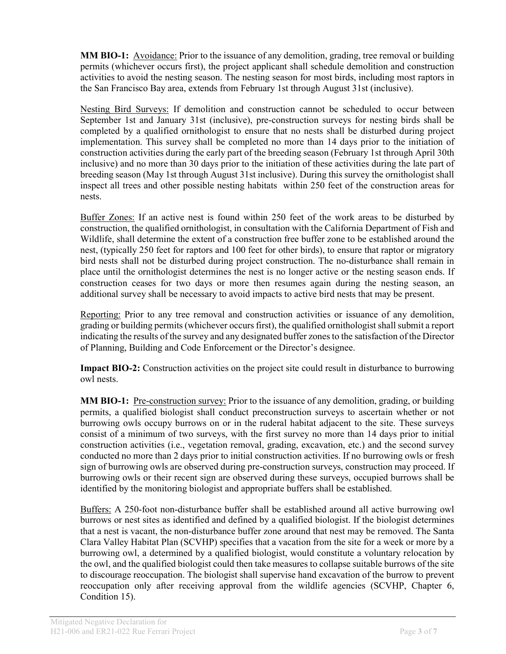MM BIO-1: Avoidance: Prior to the issuance of any demolition, grading, tree removal or building permits (whichever occurs first), the project applicant shall schedule demolition and construction activities to avoid the nesting season. The nesting season for most birds, including most raptors in the San Francisco Bay area, extends from February 1st through August 31st (inclusive).

Nesting Bird Surveys: If demolition and construction cannot be scheduled to occur between September 1st and January 31st (inclusive), pre-construction surveys for nesting birds shall be completed by a qualified ornithologist to ensure that no nests shall be disturbed during project implementation. This survey shall be completed no more than 14 days prior to the initiation of construction activities during the early part of the breeding season (February 1st through April 30th inclusive) and no more than 30 days prior to the initiation of these activities during the late part of breeding season (May 1st through August 31st inclusive). During this survey the ornithologist shall inspect all trees and other possible nesting habitats within 250 feet of the construction areas for nests.

Buffer Zones: If an active nest is found within 250 feet of the work areas to be disturbed by construction, the qualified ornithologist, in consultation with the California Department of Fish and Wildlife, shall determine the extent of a construction free buffer zone to be established around the nest, (typically 250 feet for raptors and 100 feet for other birds), to ensure that raptor or migratory bird nests shall not be disturbed during project construction. The no-disturbance shall remain in place until the ornithologist determines the nest is no longer active or the nesting season ends. If construction ceases for two days or more then resumes again during the nesting season, an additional survey shall be necessary to avoid impacts to active bird nests that may be present.

Reporting: Prior to any tree removal and construction activities or issuance of any demolition, grading or building permits (whichever occurs first), the qualified ornithologist shall submit a report indicating the results of the survey and any designated buffer zones to the satisfaction of the Director of Planning, Building and Code Enforcement or the Director's designee.

Impact BIO-2: Construction activities on the project site could result in disturbance to burrowing owl nests.

MM BIO-1: Pre-construction survey: Prior to the issuance of any demolition, grading, or building permits, a qualified biologist shall conduct preconstruction surveys to ascertain whether or not burrowing owls occupy burrows on or in the ruderal habitat adjacent to the site. These surveys consist of a minimum of two surveys, with the first survey no more than 14 days prior to initial construction activities (i.e., vegetation removal, grading, excavation, etc.) and the second survey conducted no more than 2 days prior to initial construction activities. If no burrowing owls or fresh sign of burrowing owls are observed during pre-construction surveys, construction may proceed. If burrowing owls or their recent sign are observed during these surveys, occupied burrows shall be identified by the monitoring biologist and appropriate buffers shall be established.

Buffers: A 250-foot non-disturbance buffer shall be established around all active burrowing owl burrows or nest sites as identified and defined by a qualified biologist. If the biologist determines that a nest is vacant, the non-disturbance buffer zone around that nest may be removed. The Santa Clara Valley Habitat Plan (SCVHP) specifies that a vacation from the site for a week or more by a burrowing owl, a determined by a qualified biologist, would constitute a voluntary relocation by the owl, and the qualified biologist could then take measures to collapse suitable burrows of the site to discourage reoccupation. The biologist shall supervise hand excavation of the burrow to prevent reoccupation only after receiving approval from the wildlife agencies (SCVHP, Chapter 6, Condition 15).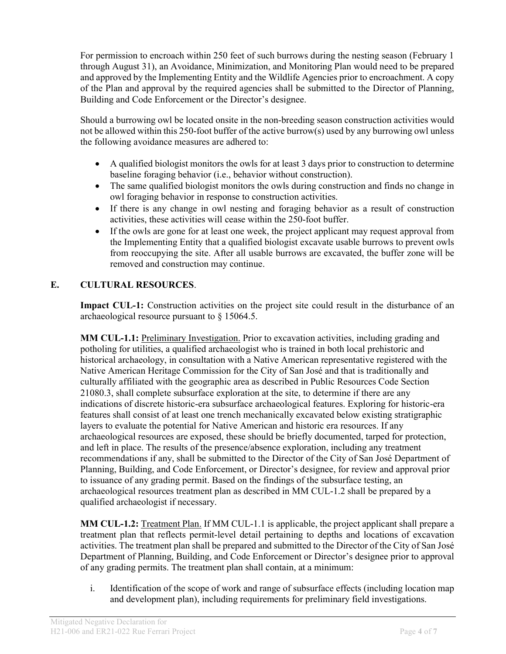For permission to encroach within 250 feet of such burrows during the nesting season (February 1 through August 31), an Avoidance, Minimization, and Monitoring Plan would need to be prepared and approved by the Implementing Entity and the Wildlife Agencies prior to encroachment. A copy of the Plan and approval by the required agencies shall be submitted to the Director of Planning, Building and Code Enforcement or the Director's designee.

Should a burrowing owl be located onsite in the non-breeding season construction activities would not be allowed within this 250-foot buffer of the active burrow(s) used by any burrowing owl unless the following avoidance measures are adhered to:

- A qualified biologist monitors the owls for at least 3 days prior to construction to determine baseline foraging behavior (i.e., behavior without construction).
- The same qualified biologist monitors the owls during construction and finds no change in owl foraging behavior in response to construction activities.
- If there is any change in owl nesting and foraging behavior as a result of construction activities, these activities will cease within the 250-foot buffer.
- If the owls are gone for at least one week, the project applicant may request approval from the Implementing Entity that a qualified biologist excavate usable burrows to prevent owls from reoccupying the site. After all usable burrows are excavated, the buffer zone will be removed and construction may continue.

# E. CULTURAL RESOURCES.

Impact CUL-1: Construction activities on the project site could result in the disturbance of an archaeological resource pursuant to § 15064.5.

MM CUL-1.1: Preliminary Investigation. Prior to excavation activities, including grading and potholing for utilities, a qualified archaeologist who is trained in both local prehistoric and historical archaeology, in consultation with a Native American representative registered with the Native American Heritage Commission for the City of San José and that is traditionally and culturally affiliated with the geographic area as described in Public Resources Code Section 21080.3, shall complete subsurface exploration at the site, to determine if there are any indications of discrete historic-era subsurface archaeological features. Exploring for historic-era features shall consist of at least one trench mechanically excavated below existing stratigraphic layers to evaluate the potential for Native American and historic era resources. If any archaeological resources are exposed, these should be briefly documented, tarped for protection, and left in place. The results of the presence/absence exploration, including any treatment recommendations if any, shall be submitted to the Director of the City of San José Department of Planning, Building, and Code Enforcement, or Director's designee, for review and approval prior to issuance of any grading permit. Based on the findings of the subsurface testing, an archaeological resources treatment plan as described in MM CUL-1.2 shall be prepared by a qualified archaeologist if necessary.

MM CUL-1.2: Treatment Plan. If MM CUL-1.1 is applicable, the project applicant shall prepare a treatment plan that reflects permit-level detail pertaining to depths and locations of excavation activities. The treatment plan shall be prepared and submitted to the Director of the City of San José Department of Planning, Building, and Code Enforcement or Director's designee prior to approval of any grading permits. The treatment plan shall contain, at a minimum:

i. Identification of the scope of work and range of subsurface effects (including location map and development plan), including requirements for preliminary field investigations.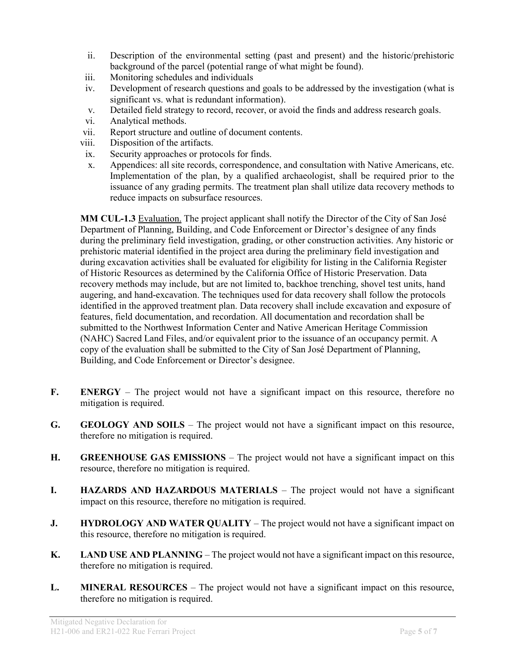- ii. Description of the environmental setting (past and present) and the historic/prehistoric background of the parcel (potential range of what might be found).
- iii. Monitoring schedules and individuals
- iv. Development of research questions and goals to be addressed by the investigation (what is significant vs. what is redundant information).
- v. Detailed field strategy to record, recover, or avoid the finds and address research goals.
- vi. Analytical methods.
- vii. Report structure and outline of document contents.
- viii. Disposition of the artifacts.
- ix. Security approaches or protocols for finds.
- x. Appendices: all site records, correspondence, and consultation with Native Americans, etc. Implementation of the plan, by a qualified archaeologist, shall be required prior to the issuance of any grading permits. The treatment plan shall utilize data recovery methods to reduce impacts on subsurface resources.

MM CUL-1.3 Evaluation. The project applicant shall notify the Director of the City of San José Department of Planning, Building, and Code Enforcement or Director's designee of any finds during the preliminary field investigation, grading, or other construction activities. Any historic or prehistoric material identified in the project area during the preliminary field investigation and during excavation activities shall be evaluated for eligibility for listing in the California Register of Historic Resources as determined by the California Office of Historic Preservation. Data recovery methods may include, but are not limited to, backhoe trenching, shovel test units, hand augering, and hand-excavation. The techniques used for data recovery shall follow the protocols identified in the approved treatment plan. Data recovery shall include excavation and exposure of features, field documentation, and recordation. All documentation and recordation shall be submitted to the Northwest Information Center and Native American Heritage Commission (NAHC) Sacred Land Files, and/or equivalent prior to the issuance of an occupancy permit. A copy of the evaluation shall be submitted to the City of San José Department of Planning, Building, and Code Enforcement or Director's designee.

- F. ENERGY The project would not have a significant impact on this resource, therefore no mitigation is required.
- G. GEOLOGY AND SOILS The project would not have a significant impact on this resource, therefore no mitigation is required.
- H. GREENHOUSE GAS EMISSIONS The project would not have a significant impact on this resource, therefore no mitigation is required.
- I. HAZARDS AND HAZARDOUS MATERIALS The project would not have a significant impact on this resource, therefore no mitigation is required.
- J. HYDROLOGY AND WATER QUALITY The project would not have a significant impact on this resource, therefore no mitigation is required.
- K. LAND USE AND PLANNING The project would not have a significant impact on this resource, therefore no mitigation is required.
- L. MINERAL RESOURCES The project would not have a significant impact on this resource, therefore no mitigation is required.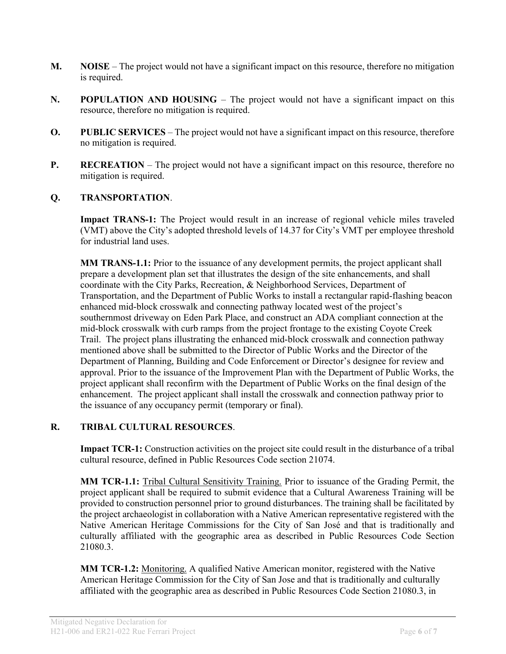- M. NOISE The project would not have a significant impact on this resource, therefore no mitigation is required.
- N. POPULATION AND HOUSING The project would not have a significant impact on this resource, therefore no mitigation is required.
- O. PUBLIC SERVICES The project would not have a significant impact on this resource, therefore no mitigation is required.
- **P.** RECREATION The project would not have a significant impact on this resource, therefore no mitigation is required.

# Q. TRANSPORTATION.

Impact TRANS-1: The Project would result in an increase of regional vehicle miles traveled (VMT) above the City's adopted threshold levels of 14.37 for City's VMT per employee threshold for industrial land uses.

MM TRANS-1.1: Prior to the issuance of any development permits, the project applicant shall prepare a development plan set that illustrates the design of the site enhancements, and shall coordinate with the City Parks, Recreation, & Neighborhood Services, Department of Transportation, and the Department of Public Works to install a rectangular rapid-flashing beacon enhanced mid-block crosswalk and connecting pathway located west of the project's southernmost driveway on Eden Park Place, and construct an ADA compliant connection at the mid-block crosswalk with curb ramps from the project frontage to the existing Coyote Creek Trail. The project plans illustrating the enhanced mid-block crosswalk and connection pathway mentioned above shall be submitted to the Director of Public Works and the Director of the Department of Planning, Building and Code Enforcement or Director's designee for review and approval. Prior to the issuance of the Improvement Plan with the Department of Public Works, the project applicant shall reconfirm with the Department of Public Works on the final design of the enhancement. The project applicant shall install the crosswalk and connection pathway prior to the issuance of any occupancy permit (temporary or final).

# R. TRIBAL CULTURAL RESOURCES.

Impact TCR-1: Construction activities on the project site could result in the disturbance of a tribal cultural resource, defined in Public Resources Code section 21074.

MM TCR-1.1: Tribal Cultural Sensitivity Training. Prior to issuance of the Grading Permit, the project applicant shall be required to submit evidence that a Cultural Awareness Training will be provided to construction personnel prior to ground disturbances. The training shall be facilitated by the project archaeologist in collaboration with a Native American representative registered with the Native American Heritage Commissions for the City of San José and that is traditionally and culturally affiliated with the geographic area as described in Public Resources Code Section 21080.3.

MM TCR-1.2: Monitoring. A qualified Native American monitor, registered with the Native American Heritage Commission for the City of San Jose and that is traditionally and culturally affiliated with the geographic area as described in Public Resources Code Section 21080.3, in